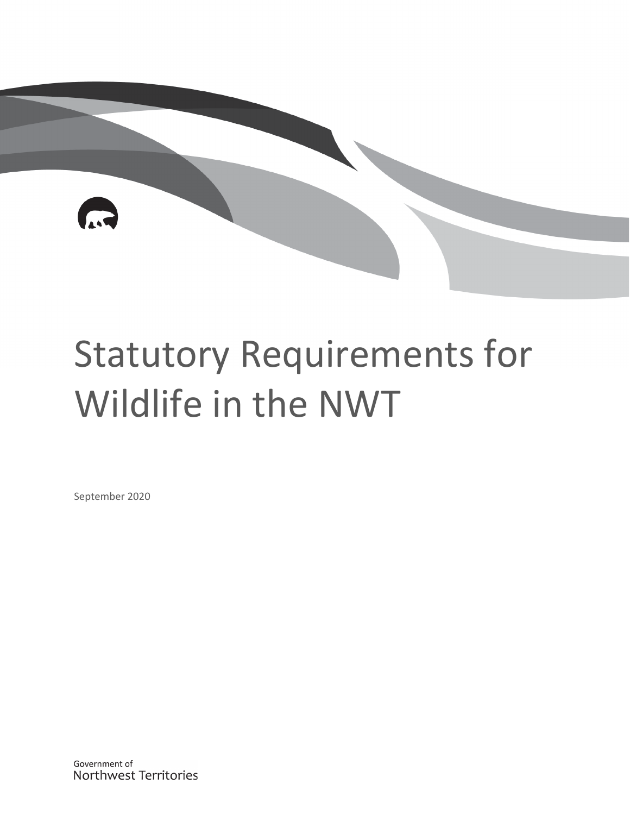# Statutory Requirements for Wildlife in the NWT

September 2020

Government of Northwest Territories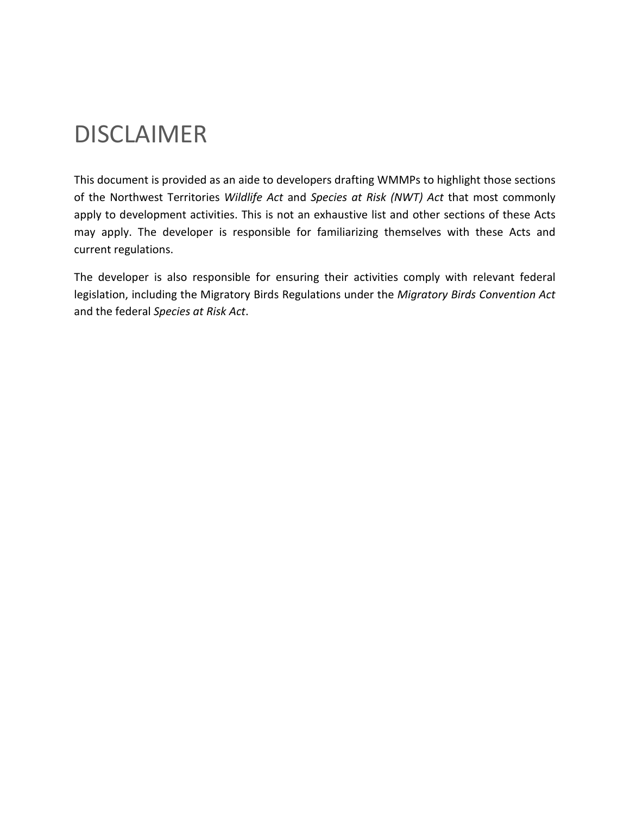### DISCLAIMER

This document is provided as an aide to developers drafting WMMPs to highlight those sections of the Northwest Territories *Wildlife Act* and *Species at Risk (NWT) Act* that most commonly apply to development activities. This is not an exhaustive list and other sections of these Acts may apply. The developer is responsible for familiarizing themselves with these Acts and current regulations.

The developer is also responsible for ensuring their activities comply with relevant federal legislation, including the Migratory Birds Regulations under the *Migratory Birds Convention Act* and the federal *Species at Risk Act*.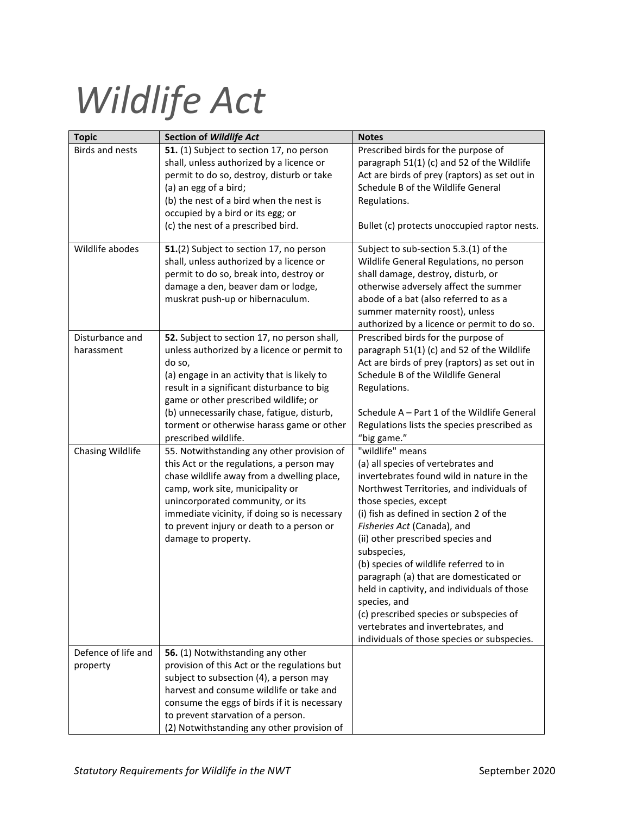# *Wildlife Act*

| <b>Topic</b>           | <b>Section of Wildlife Act</b>                                                   | <b>Notes</b>                                                     |
|------------------------|----------------------------------------------------------------------------------|------------------------------------------------------------------|
| <b>Birds and nests</b> | 51. (1) Subject to section 17, no person                                         | Prescribed birds for the purpose of                              |
|                        | shall, unless authorized by a licence or                                         | paragraph 51(1) (c) and 52 of the Wildlife                       |
|                        | permit to do so, destroy, disturb or take                                        | Act are birds of prey (raptors) as set out in                    |
|                        | (a) an egg of a bird;                                                            | Schedule B of the Wildlife General                               |
|                        | (b) the nest of a bird when the nest is                                          | Regulations.                                                     |
|                        | occupied by a bird or its egg; or                                                |                                                                  |
|                        | (c) the nest of a prescribed bird.                                               | Bullet (c) protects unoccupied raptor nests.                     |
| Wildlife abodes        | 51.(2) Subject to section 17, no person                                          | Subject to sub-section 5.3.(1) of the                            |
|                        | shall, unless authorized by a licence or                                         | Wildlife General Regulations, no person                          |
|                        | permit to do so, break into, destroy or                                          | shall damage, destroy, disturb, or                               |
|                        | damage a den, beaver dam or lodge,                                               | otherwise adversely affect the summer                            |
|                        | muskrat push-up or hibernaculum.                                                 | abode of a bat (also referred to as a                            |
|                        |                                                                                  | summer maternity roost), unless                                  |
|                        |                                                                                  | authorized by a licence or permit to do so.                      |
| Disturbance and        | 52. Subject to section 17, no person shall,                                      | Prescribed birds for the purpose of                              |
| harassment             | unless authorized by a licence or permit to                                      | paragraph 51(1) (c) and 52 of the Wildlife                       |
|                        | do so,                                                                           | Act are birds of prey (raptors) as set out in                    |
|                        | (a) engage in an activity that is likely to                                      | Schedule B of the Wildlife General                               |
|                        | result in a significant disturbance to big                                       | Regulations.                                                     |
|                        | game or other prescribed wildlife; or                                            |                                                                  |
|                        | (b) unnecessarily chase, fatigue, disturb,                                       | Schedule A - Part 1 of the Wildlife General                      |
|                        | torment or otherwise harass game or other                                        | Regulations lists the species prescribed as                      |
|                        | prescribed wildlife.                                                             | "big game."                                                      |
| Chasing Wildlife       | 55. Notwithstanding any other provision of                                       | "wildlife" means                                                 |
|                        | this Act or the regulations, a person may                                        | (a) all species of vertebrates and                               |
|                        | chase wildlife away from a dwelling place,                                       | invertebrates found wild in nature in the                        |
|                        | camp, work site, municipality or                                                 | Northwest Territories, and individuals of                        |
|                        | unincorporated community, or its<br>immediate vicinity, if doing so is necessary | those species, except<br>(i) fish as defined in section 2 of the |
|                        | to prevent injury or death to a person or                                        | Fisheries Act (Canada), and                                      |
|                        | damage to property.                                                              | (ii) other prescribed species and                                |
|                        |                                                                                  | subspecies,                                                      |
|                        |                                                                                  | (b) species of wildlife referred to in                           |
|                        |                                                                                  | paragraph (a) that are domesticated or                           |
|                        |                                                                                  | held in captivity, and individuals of those                      |
|                        |                                                                                  | species, and                                                     |
|                        |                                                                                  | (c) prescribed species or subspecies of                          |
|                        |                                                                                  | vertebrates and invertebrates, and                               |
|                        |                                                                                  | individuals of those species or subspecies.                      |
| Defence of life and    | 56. (1) Notwithstanding any other                                                |                                                                  |
| property               | provision of this Act or the regulations but                                     |                                                                  |
|                        | subject to subsection (4), a person may                                          |                                                                  |
|                        | harvest and consume wildlife or take and                                         |                                                                  |
|                        | consume the eggs of birds if it is necessary                                     |                                                                  |
|                        | to prevent starvation of a person.                                               |                                                                  |
|                        | (2) Notwithstanding any other provision of                                       |                                                                  |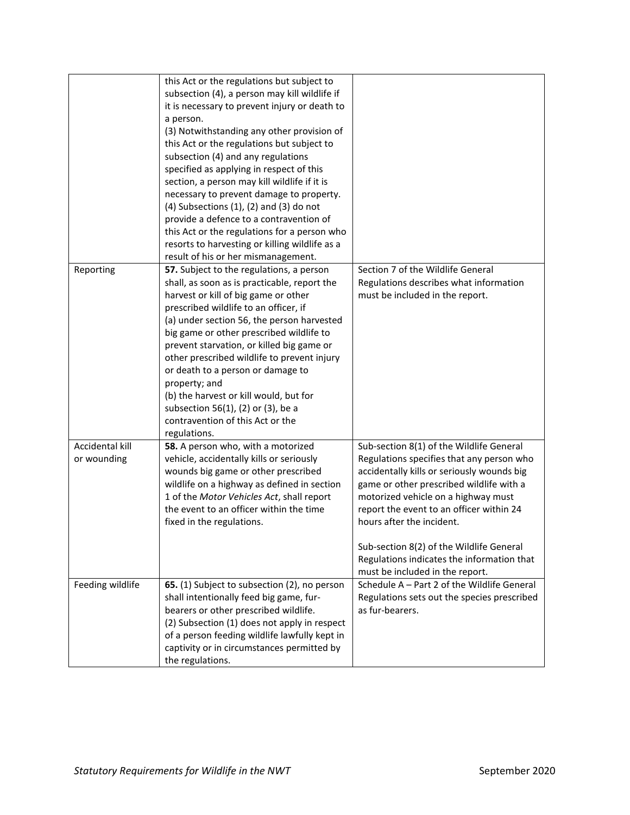|                  | this Act or the regulations but subject to       |                                             |
|------------------|--------------------------------------------------|---------------------------------------------|
|                  | subsection (4), a person may kill wildlife if    |                                             |
|                  | it is necessary to prevent injury or death to    |                                             |
|                  | a person.                                        |                                             |
|                  | (3) Notwithstanding any other provision of       |                                             |
|                  | this Act or the regulations but subject to       |                                             |
|                  | subsection (4) and any regulations               |                                             |
|                  | specified as applying in respect of this         |                                             |
|                  | section, a person may kill wildlife if it is     |                                             |
|                  | necessary to prevent damage to property.         |                                             |
|                  | $(4)$ Subsections $(1)$ , $(2)$ and $(3)$ do not |                                             |
|                  | provide a defence to a contravention of          |                                             |
|                  | this Act or the regulations for a person who     |                                             |
|                  | resorts to harvesting or killing wildlife as a   |                                             |
|                  | result of his or her mismanagement.              |                                             |
| Reporting        | 57. Subject to the regulations, a person         | Section 7 of the Wildlife General           |
|                  | shall, as soon as is practicable, report the     | Regulations describes what information      |
|                  | harvest or kill of big game or other             | must be included in the report.             |
|                  | prescribed wildlife to an officer, if            |                                             |
|                  | (a) under section 56, the person harvested       |                                             |
|                  | big game or other prescribed wildlife to         |                                             |
|                  | prevent starvation, or killed big game or        |                                             |
|                  | other prescribed wildlife to prevent injury      |                                             |
|                  | or death to a person or damage to                |                                             |
|                  | property; and                                    |                                             |
|                  | (b) the harvest or kill would, but for           |                                             |
|                  | subsection 56(1), (2) or (3), be a               |                                             |
|                  | contravention of this Act or the                 |                                             |
|                  | regulations.                                     |                                             |
| Accidental kill  | 58. A person who, with a motorized               | Sub-section 8(1) of the Wildlife General    |
| or wounding      | vehicle, accidentally kills or seriously         | Regulations specifies that any person who   |
|                  | wounds big game or other prescribed              | accidentally kills or seriously wounds big  |
|                  | wildlife on a highway as defined in section      | game or other prescribed wildlife with a    |
|                  | 1 of the Motor Vehicles Act, shall report        | motorized vehicle on a highway must         |
|                  | the event to an officer within the time          | report the event to an officer within 24    |
|                  | fixed in the regulations.                        | hours after the incident.                   |
|                  |                                                  |                                             |
|                  |                                                  | Sub-section 8(2) of the Wildlife General    |
|                  |                                                  | Regulations indicates the information that  |
|                  |                                                  | must be included in the report.             |
| Feeding wildlife | 65. (1) Subject to subsection (2), no person     | Schedule A - Part 2 of the Wildlife General |
|                  | shall intentionally feed big game, fur-          | Regulations sets out the species prescribed |
|                  | bearers or other prescribed wildlife.            | as fur-bearers.                             |
|                  | (2) Subsection (1) does not apply in respect     |                                             |
|                  | of a person feeding wildlife lawfully kept in    |                                             |
|                  | captivity or in circumstances permitted by       |                                             |
|                  | the regulations.                                 |                                             |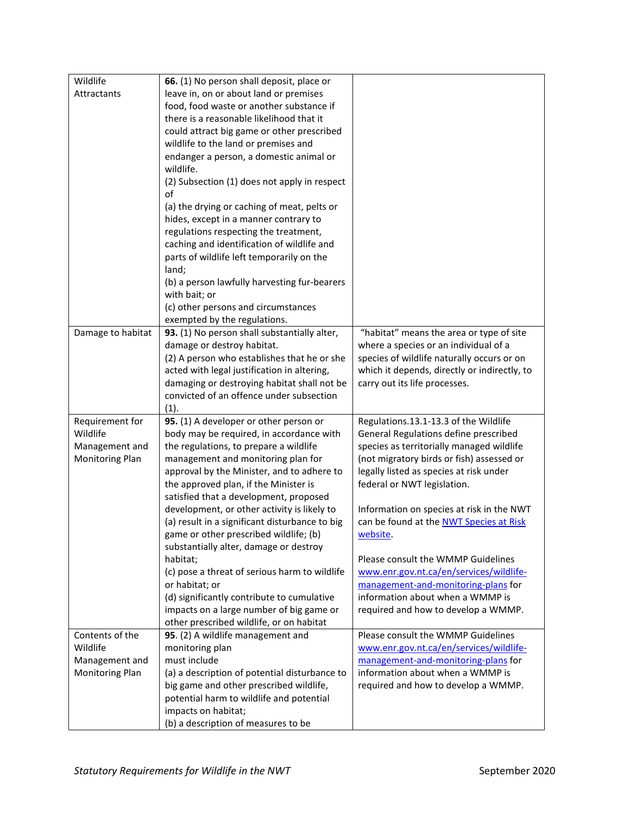| Wildlife          | 66. (1) No person shall deposit, place or                                    |                                                                         |
|-------------------|------------------------------------------------------------------------------|-------------------------------------------------------------------------|
| Attractants       | leave in, on or about land or premises                                       |                                                                         |
|                   | food, food waste or another substance if                                     |                                                                         |
|                   | there is a reasonable likelihood that it                                     |                                                                         |
|                   | could attract big game or other prescribed                                   |                                                                         |
|                   | wildlife to the land or premises and                                         |                                                                         |
|                   | endanger a person, a domestic animal or                                      |                                                                         |
|                   | wildlife.                                                                    |                                                                         |
|                   | (2) Subsection (1) does not apply in respect                                 |                                                                         |
|                   | of                                                                           |                                                                         |
|                   | (a) the drying or caching of meat, pelts or                                  |                                                                         |
|                   | hides, except in a manner contrary to                                        |                                                                         |
|                   | regulations respecting the treatment,                                        |                                                                         |
|                   | caching and identification of wildlife and                                   |                                                                         |
|                   | parts of wildlife left temporarily on the                                    |                                                                         |
|                   | land;                                                                        |                                                                         |
|                   | (b) a person lawfully harvesting fur-bearers                                 |                                                                         |
|                   | with bait; or                                                                |                                                                         |
|                   | (c) other persons and circumstances                                          |                                                                         |
| Damage to habitat | exempted by the regulations.<br>93. (1) No person shall substantially alter, | "habitat" means the area or type of site                                |
|                   | damage or destroy habitat.                                                   | where a species or an individual of a                                   |
|                   | (2) A person who establishes that he or she                                  | species of wildlife naturally occurs or on                              |
|                   | acted with legal justification in altering,                                  | which it depends, directly or indirectly, to                            |
|                   | damaging or destroying habitat shall not be                                  | carry out its life processes.                                           |
|                   | convicted of an offence under subsection                                     |                                                                         |
|                   | (1).                                                                         |                                                                         |
| Requirement for   | 95. (1) A developer or other person or                                       | Regulations.13.1-13.3 of the Wildlife                                   |
| Wildlife          | body may be required, in accordance with                                     | General Regulations define prescribed                                   |
| Management and    | the regulations, to prepare a wildlife                                       | species as territorially managed wildlife                               |
| Monitoring Plan   | management and monitoring plan for                                           | (not migratory birds or fish) assessed or                               |
|                   | approval by the Minister, and to adhere to                                   | legally listed as species at risk under                                 |
|                   | the approved plan, if the Minister is                                        | federal or NWT legislation.                                             |
|                   | satisfied that a development, proposed                                       |                                                                         |
|                   | development, or other activity is likely to                                  | Information on species at risk in the NWT                               |
|                   | (a) result in a significant disturbance to big                               | can be found at the NWT Species at Risk                                 |
|                   | game or other prescribed wildlife; (b)                                       | website.                                                                |
|                   | substantially alter, damage or destroy                                       |                                                                         |
|                   | habitat;                                                                     | Please consult the WMMP Guidelines                                      |
|                   | (c) pose a threat of serious harm to wildlife                                | www.enr.gov.nt.ca/en/services/wildlife-                                 |
|                   | or habitat; or<br>(d) significantly contribute to cumulative                 | management-and-monitoring-plans for<br>information about when a WMMP is |
|                   | impacts on a large number of big game or                                     | required and how to develop a WMMP.                                     |
|                   | other prescribed wildlife, or on habitat                                     |                                                                         |
| Contents of the   | 95. (2) A wildlife management and                                            | Please consult the WMMP Guidelines                                      |
| Wildlife          | monitoring plan                                                              | www.enr.gov.nt.ca/en/services/wildlife-                                 |
| Management and    | must include                                                                 | management-and-monitoring-plans for                                     |
| Monitoring Plan   | (a) a description of potential disturbance to                                | information about when a WMMP is                                        |
|                   | big game and other prescribed wildlife,                                      | required and how to develop a WMMP.                                     |
|                   | potential harm to wildlife and potential                                     |                                                                         |
|                   |                                                                              |                                                                         |
|                   | impacts on habitat;                                                          |                                                                         |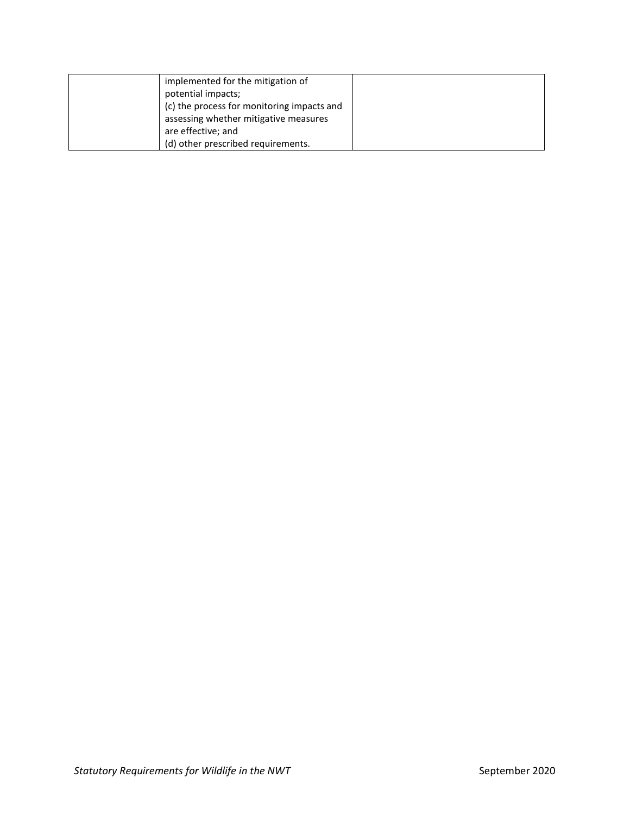| implemented for the mitigation of          |  |
|--------------------------------------------|--|
| potential impacts;                         |  |
| (c) the process for monitoring impacts and |  |
| assessing whether mitigative measures      |  |
| are effective; and                         |  |
| (d) other prescribed requirements.         |  |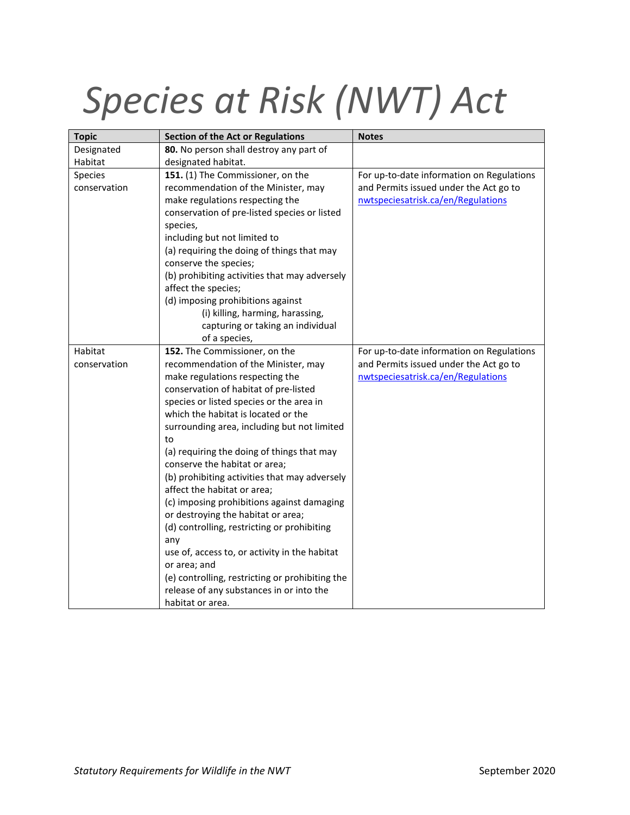# *Species at Risk (NWT) Act*

| <b>Topic</b> | <b>Section of the Act or Regulations</b>        | <b>Notes</b>                              |
|--------------|-------------------------------------------------|-------------------------------------------|
| Designated   | 80. No person shall destroy any part of         |                                           |
| Habitat      | designated habitat.                             |                                           |
| Species      | 151. (1) The Commissioner, on the               | For up-to-date information on Regulations |
| conservation | recommendation of the Minister, may             | and Permits issued under the Act go to    |
|              | make regulations respecting the                 | nwtspeciesatrisk.ca/en/Regulations        |
|              | conservation of pre-listed species or listed    |                                           |
|              | species,                                        |                                           |
|              | including but not limited to                    |                                           |
|              | (a) requiring the doing of things that may      |                                           |
|              | conserve the species;                           |                                           |
|              | (b) prohibiting activities that may adversely   |                                           |
|              | affect the species;                             |                                           |
|              | (d) imposing prohibitions against               |                                           |
|              | (i) killing, harming, harassing,                |                                           |
|              | capturing or taking an individual               |                                           |
|              | of a species,                                   |                                           |
| Habitat      | 152. The Commissioner, on the                   | For up-to-date information on Regulations |
| conservation | recommendation of the Minister, may             | and Permits issued under the Act go to    |
|              | make regulations respecting the                 | nwtspeciesatrisk.ca/en/Regulations        |
|              | conservation of habitat of pre-listed           |                                           |
|              | species or listed species or the area in        |                                           |
|              | which the habitat is located or the             |                                           |
|              | surrounding area, including but not limited     |                                           |
|              | to                                              |                                           |
|              | (a) requiring the doing of things that may      |                                           |
|              | conserve the habitat or area;                   |                                           |
|              | (b) prohibiting activities that may adversely   |                                           |
|              | affect the habitat or area;                     |                                           |
|              | (c) imposing prohibitions against damaging      |                                           |
|              | or destroying the habitat or area;              |                                           |
|              | (d) controlling, restricting or prohibiting     |                                           |
|              | any                                             |                                           |
|              | use of, access to, or activity in the habitat   |                                           |
|              | or area; and                                    |                                           |
|              | (e) controlling, restricting or prohibiting the |                                           |
|              | release of any substances in or into the        |                                           |
|              | habitat or area.                                |                                           |